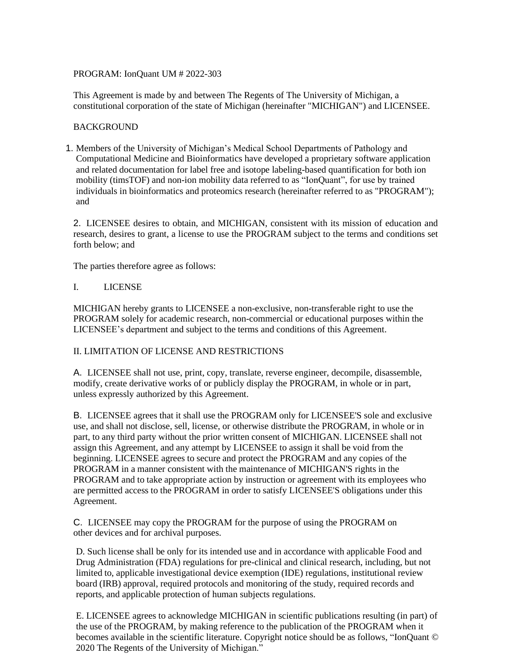PROGRAM: IonQuant UM # 2022-303

This Agreement is made by and between The Regents of The University of Michigan, a constitutional corporation of the state of Michigan (hereinafter "MICHIGAN") and LICENSEE.

### **BACKGROUND**

1. Members of the University of Michigan's Medical School Departments of Pathology and Computational Medicine and Bioinformatics have developed a proprietary software application and related documentation for label free and isotope labeling-based quantification for both ion mobility (timsTOF) and non-ion mobility data referred to as "IonQuant", for use by trained individuals in bioinformatics and proteomics research (hereinafter referred to as "PROGRAM"); and

2. LICENSEE desires to obtain, and MICHIGAN, consistent with its mission of education and research, desires to grant, a license to use the PROGRAM subject to the terms and conditions set forth below; and

The parties therefore agree as follows:

#### I. LICENSE

MICHIGAN hereby grants to LICENSEE a non-exclusive, non-transferable right to use the PROGRAM solely for academic research, non-commercial or educational purposes within the LICENSEE's department and subject to the terms and conditions of this Agreement.

## II. LIMITATION OF LICENSE AND RESTRICTIONS

A. LICENSEE shall not use, print, copy, translate, reverse engineer, decompile, disassemble, modify, create derivative works of or publicly display the PROGRAM, in whole or in part, unless expressly authorized by this Agreement.

B. LICENSEE agrees that it shall use the PROGRAM only for LICENSEE'S sole and exclusive use, and shall not disclose, sell, license, or otherwise distribute the PROGRAM, in whole or in part, to any third party without the prior written consent of MICHIGAN. LICENSEE shall not assign this Agreement, and any attempt by LICENSEE to assign it shall be void from the beginning. LICENSEE agrees to secure and protect the PROGRAM and any copies of the PROGRAM in a manner consistent with the maintenance of MICHIGAN'S rights in the PROGRAM and to take appropriate action by instruction or agreement with its employees who are permitted access to the PROGRAM in order to satisfy LICENSEE'S obligations under this Agreement.

C. LICENSEE may copy the PROGRAM for the purpose of using the PROGRAM on other devices and for archival purposes.

D. Such license shall be only for its intended use and in accordance with applicable Food and Drug Administration (FDA) regulations for pre-clinical and clinical research, including, but not limited to, applicable investigational device exemption (IDE) regulations, institutional review board (IRB) approval, required protocols and monitoring of the study, required records and reports, and applicable protection of human subjects regulations.

E. LICENSEE agrees to acknowledge MICHIGAN in scientific publications resulting (in part) of the use of the PROGRAM, by making reference to the publication of the PROGRAM when it becomes available in the scientific literature. Copyright notice should be as follows, "IonQuant © 2020 The Regents of the University of Michigan."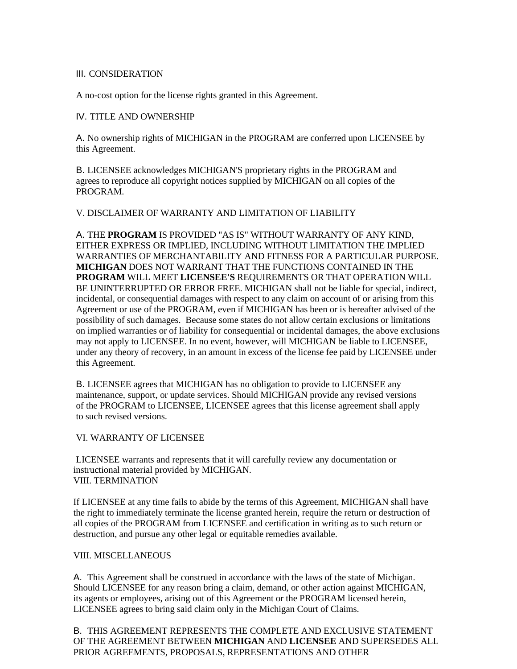#### III. CONSIDERATION

A no-cost option for the license rights granted in this Agreement.

### IV. TITLE AND OWNERSHIP

A. No ownership rights of MICHIGAN in the PROGRAM are conferred upon LICENSEE by this Agreement.

B. LICENSEE acknowledges MICHIGAN'S proprietary rights in the PROGRAM and agrees to reproduce all copyright notices supplied by MICHIGAN on all copies of the PROGRAM.

### V. DISCLAIMER OF WARRANTY AND LIMITATION OF LIABILITY

A. THE **PROGRAM** IS PROVIDED "AS IS" WITHOUT WARRANTY OF ANY KIND, EITHER EXPRESS OR IMPLIED, INCLUDING WITHOUT LIMITATION THE IMPLIED WARRANTIES OF MERCHANTABILITY AND FITNESS FOR A PARTICULAR PURPOSE. **MICHIGAN** DOES NOT WARRANT THAT THE FUNCTIONS CONTAINED IN THE **PROGRAM** WILL MEET **LICENSEE'S** REQUIREMENTS OR THAT OPERATION WILL BE UNINTERRUPTED OR ERROR FREE. MICHIGAN shall not be liable for special, indirect, incidental, or consequential damages with respect to any claim on account of or arising from this Agreement or use of the PROGRAM, even if MICHIGAN has been or is hereafter advised of the possibility of such damages. Because some states do not allow certain exclusions or limitations on implied warranties or of liability for consequential or incidental damages, the above exclusions may not apply to LICENSEE. In no event, however, will MICHIGAN be liable to LICENSEE, under any theory of recovery, in an amount in excess of the license fee paid by LICENSEE under this Agreement.

B. LICENSEE agrees that MICHIGAN has no obligation to provide to LICENSEE any maintenance, support, or update services. Should MICHIGAN provide any revised versions of the PROGRAM to LICENSEE, LICENSEE agrees that this license agreement shall apply to such revised versions.

VI. WARRANTY OF LICENSEE

LICENSEE warrants and represents that it will carefully review any documentation or instructional material provided by MICHIGAN. VIII. TERMINATION

If LICENSEE at any time fails to abide by the terms of this Agreement, MICHIGAN shall have the right to immediately terminate the license granted herein, require the return or destruction of all copies of the PROGRAM from LICENSEE and certification in writing as to such return or destruction, and pursue any other legal or equitable remedies available.

## VIII. MISCELLANEOUS

A. This Agreement shall be construed in accordance with the laws of the state of Michigan. Should LICENSEE for any reason bring a claim, demand, or other action against MICHIGAN, its agents or employees, arising out of this Agreement or the PROGRAM licensed herein, LICENSEE agrees to bring said claim only in the Michigan Court of Claims.

B. THIS AGREEMENT REPRESENTS THE COMPLETE AND EXCLUSIVE STATEMENT OF THE AGREEMENT BETWEEN **MICHIGAN** AND **LICENSEE** AND SUPERSEDES ALL PRIOR AGREEMENTS, PROPOSALS, REPRESENTATIONS AND OTHER